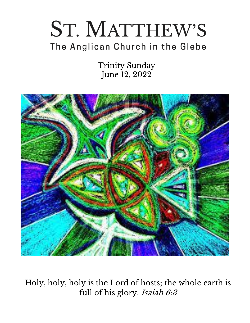# ST. MATTHEW'S The Anglican Church in the Glebe

Trinity Sunday June 12, 2022



Holy, holy, holy is the Lord of hosts; the whole earth is full of his glory. Isaiah 6:3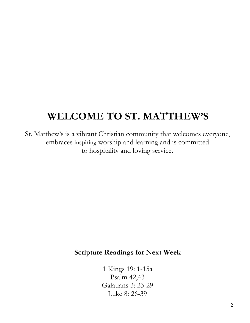# **WELCOME TO ST. MATTHEW'S**

St. Matthew's is a vibrant Christian community that welcomes everyone, embraces inspiring worship and learning and is committed to hospitality and loving service**.**

# **Scripture Readings for Next Week**

1 Kings 19: 1-15a Psalm 42,43 Galatians 3: 23-29 Luke 8: 26-39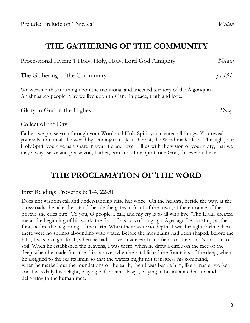# **THE GATHERING OF THE COMMUNITY**

Processional Hymn: 1 Holy, Holy, Holy, Lord God Almighty *Nicaea*

The Gathering of the Community *pg 151*

We worship this morning upon the traditional and unceded territory of the Algonquin Anishnaabeg people. May we live upon this land in peace, truth and love.

Glory to God in the Highest *Dacey*

Collect of the Day

Father, we praise you: through your Word and Holy Spirit you created all things. You reveal your salvation in all the world by sending to us Jesus Christ, the Word made flesh. Through your Holy Spirit you give us a share in your life and love. Fill us with the vision of your glory, that we may always serve and praise you, Father, Son and Holy Spirit, one God, for ever and ever.

# **THE PROCLAMATION OF THE WORD**

### First Reading: Proverbs 8: 1-4, 22-31

Does not wisdom call and understanding raise her voice? On the heights, beside the way, at the crossroads she takes her stand; beside the gates in front of the town, at the entrance of the portals she cries out: "To you, O people, I call, and my cry is to all who live."The LORD created me at the beginning of his work, the first of his acts of long ago.Ages ago I was set up, at the first, before the beginning of the earth. When there were no depths I was brought forth, when there were no springs abounding with water. Before the mountains had been shaped, before the hills, I was brought forth, when he had not yet made earth and fields or the world's first bits of soil. When he established the heavens, I was there; when he drew a circle on the face of the deep,when he made firm the skies above, when he established the fountains of the deep, when he assigned to the sea its limit, so that the waters might not transgress his command, when he marked out the foundations of the earth, then I was beside him, like a master worker, and I was daily his delight, playing before him always, playing in his inhabited world and delighting in the human race.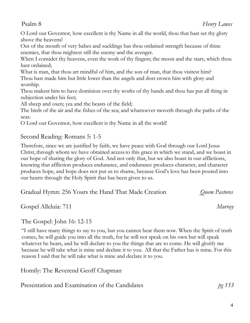O Lord our Governor, how excellent is thy Name in all the world, thou that hast set thy glory above the heavens!

Out of the mouth of very babes and sucklings has thou ordained strength because of thine enemies, that thou mightest still the enemy and the avenger.

When I consider thy heavens, even the work of thy fingers; the moon and the stars, which thou hast ordained;

What is man, that thou art mindful of him, and the son of man, that thou visitest him? Thou hast made him but little lower than the angels and dost crown him with glory and worship.

Thou makest him to have dominion over thy works of thy hands and thou has put all thing in subjection under his feet;

All sheep and oxen; yea and the beasts of the field;

The birds of the air and the fishes of the sea; and whatsoever moveth through the paths of the seas.

O Lord our Governor, how excellent is thy Name in all the world!

### Second Reading: Romans 5: 1-5

Therefore, since we are justified by faith, we have peace with God through our Lord Jesus Christ, through whom we have obtained accessto this grace in which we stand, and we boast in our hope of sharing the glory of God. And not only that, but we also boast in our afflictions, knowing that affliction produces endurance, and endurance produces character, and character produces hope, and hope does not put us to shame, because God's love has been poured into our hearts through the Holy Spirit that has been given to us.

| Gradual Hymn: 256 Yours the Hand That Made Creation | Quem Pastores |
|-----------------------------------------------------|---------------|
|-----------------------------------------------------|---------------|

Gospel Alleluia: 711 *Murray*

## The Gospel: John 16: 12-15

"I still have many things to say to you, but you cannot bear them now. When the Spirit of truth comes, he will guide you into all the truth, for he will not speak on his own but will speak whatever he hears, and he will declare to you the things that are to come. He will glorify me because he will take what is mine and declare it to you. All that the Father has is mine. For this reason I said that he will take what is mine and declare it to you.

Homily: The Reverend Geoff Chapman

| Presentation and Examination of the Candidates | pg 153 |
|------------------------------------------------|--------|
|------------------------------------------------|--------|

Psalm 8 *Henry Lawes*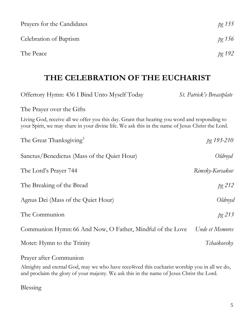| Prayers for the Candidates                                                                                                                                                                       | pg 155                           |
|--------------------------------------------------------------------------------------------------------------------------------------------------------------------------------------------------|----------------------------------|
| Celebration of Baptism                                                                                                                                                                           | pg 156                           |
| The Peace                                                                                                                                                                                        | pg 192                           |
| THE CELEBRATION OF THE EUCHARIST                                                                                                                                                                 |                                  |
| Offertory Hymn: 436 I Bind Unto Myself Today                                                                                                                                                     | <i>St. Patrick's Breastplate</i> |
| The Prayer over the Gifts                                                                                                                                                                        |                                  |
| Living God, receive all we offer you this day. Grant that hearing you word and responding to<br>your Spirit, we may share in your divine life. We ask this in the name of Jesus Christ the Lord. |                                  |
| The Great Thanksgiving <sup>3</sup>                                                                                                                                                              | pg 193-210                       |
| Sanctus/Benedictus (Mass of the Quiet Hour)                                                                                                                                                      | Oldroyd                          |
| The Lord's Prayer 744                                                                                                                                                                            | Rimsky-Korsakov                  |
| The Breaking of the Bread                                                                                                                                                                        | pg 212                           |
| Agnus Dei (Mass of the Quiet Hour)                                                                                                                                                               | Oldroyd                          |
| The Communion                                                                                                                                                                                    | $pg$ 213                         |
| Communion Hymn: 66 And Now, O Father, Mindful of the Love                                                                                                                                        | Unde et Memores                  |
| Motet: Hymn to the Trinity                                                                                                                                                                       | Tchaikovsky                      |
| Prayer after Communion                                                                                                                                                                           |                                  |

Almighty and eternal God, may we who have rece4ived this eucharist worship you in all we do, and proclaim the glory of your majesty. We ask this in the name of Jesus Christ the Lord.

Blessing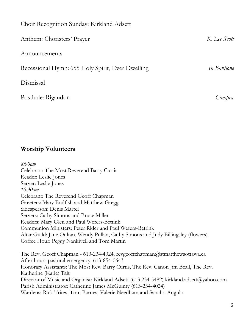| Choir Recognition Sunday: Kirkland Adsett        |              |
|--------------------------------------------------|--------------|
| Anthem: Choristers' Prayer                       | K. Lee Scott |
| Announcements                                    |              |
| Recessional Hymn: 655 Holy Spirit, Ever Dwelling | In Babilone  |
| Dismissal                                        |              |
| Postlude: Rigaudon                               | Campra       |

### **Worship Volunteers**

*8:00am* Celebrant: The Most Reverend Barry Curtis Reader: Leslie Jones Server: Leslie Jones *10:30am* Celebrant: The Reverend Geoff Chapman Greeters: Mary Bodfish and Matthew Gregg Sidesperson: Denis Martel Servers: Cathy Simons and Bruce Miller Readers: Mary Glen and Paul Wefers-Bettink Communion Ministers: Peter Rider and Paul Wefers-Bettink Altar Guild: Jane Oultan, Wendy Pullan, Cathy Simons and Judy Billingsley (flowers) Coffee Hour: Peggy Nankivell and Tom Martin The Rev. Geoff Chapman - 613-234-4024, revgeoffchapman@stmatthewsottawa.ca After hours pastoral emergency: 613-854-0643 Honorary Assistants: The Most Rev. Barry Curtis, The Rev. Canon Jim Beall, The Rev. Katherine (Katie) Tait Director of Music and Organist: Kirkland Adsett (613 234-5482) kirkland.adsett@yahoo.com Parish Administrator: Catherine James McGuinty (613-234-4024) Wardens: Rick Trites, Tom Barnes, Valerie Needham and Sancho Angulo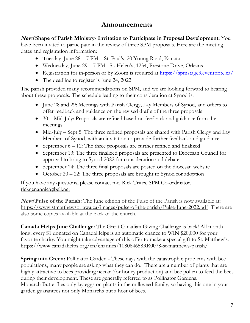### **Announcements**

**New! Shape of Parish Ministry- Invitation to Participate in Proposal Development:** You have been invited to participate in the review of three SPM proposals. Here are the meeting dates and registration information:

- Tuesday, June 28 7 PM St. Paul's, 20 Young Road, Kanata
- Wednesday, June 29 7 PM –St. Helen's, 1234, Prestone Drive, Orleans
- Registration for in-person or by Zoom is required at <https://spmstage3.eventbrite.ca/>
- The deadline to register is June 24, 2022

The parish provided many recommendations on SPM, and we are looking forward to hearing about these proposals. The schedule leading to their consideration at Synod is:

- June 28 and 29: Meetings with Parish Clergy, Lay Members of Synod, and others to offer feedback and guidance on the revised drafts of the three proposals
- 30 Mid-July: Proposals are refined based on feedback and guidance from the meetings
- Mid-July Sept 5: The three refined proposals are shared with Parish Clergy and Lay Members of Synod, with an invitation to provide further feedback and guidance
- September  $6 12$ : The three proposals are further refined and finalized
- September 13: The three finalized proposals are presented to Diocesan Council for approval to bring to Synod 2022 for consideration and debate
- September 14: The three final proposals are posted on the diocesan website
- October  $20 22$ : The three proposals are brought to Synod for adoption

If you have any questions, please contact me, Rick Trites, SPM Co-ordinator. [rickgenannie@bell.net](mailto:rickgenannie@bell.net)

**New! Pulse of the Parish:** The June edition of the Pulse of the Parish is now available at: <https://www.stmatthewsottawa.ca/images/pulse-of-the-parish/Pulse-June-2022.pdf>There are also some copies available at the back of the church.

**Canada Helps June Challenge:** The Great Canadian Giving Challenge is back! All month long, every \$1 donated on CanadaHelps is an automatic chance to WIN \$20,000 for your favorite charity. You might take advantage of this offer to make a special gift to St. Matthew's. https://www.canadahelps.org/en/charities/108084658RR0078-st-matthews-parish/

**Spring into Green:** Pollinator Garden - These days with the catastrophic problems with bee populations, many people are asking what they can do. There are a number of plants that are highly attractive to bees providing nectar (for honey production) and bee pollen to feed the bees during their development. These are generally referred to as Pollinator Gardens. Monarch Butterflies only lay eggs on plants in the milkweed family, so having this one in your garden guarantees not only Monarchs but a host of bees.